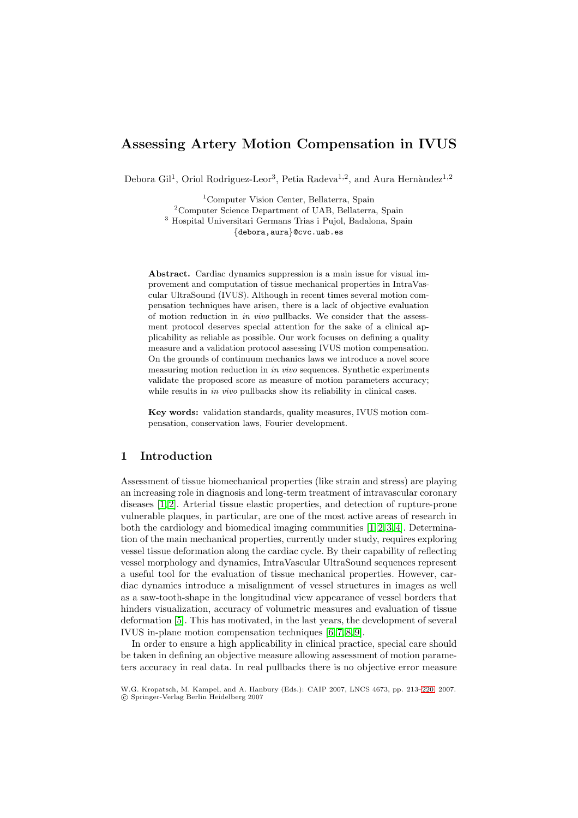# **Assessing Artery Motion Compensation in IVUS**

Debora Gil<sup>1</sup>, Oriol Rodriguez-Leor<sup>3</sup>, Petia Radeva<sup>1,2</sup>, and Aura Hernàndez<sup>1,2</sup>

<sup>1</sup>Computer Vision Center, Bellaterra, Spain <sup>2</sup>Computer Science Department of UAB, Bellaterra, Spain  $^3$ Hospital Universitari Germans Trias i Pujol, Badalona, Spain {debora,aura}@cvc.uab.es

**Abstract.** Cardiac dynamics suppression is a main issue for visual improvement and computation of tissue mechanical properties in IntraVascular UltraSound (IVUS). Although in recent times several motion compensation techniques have arisen, there is a lack of objective evaluation of motion reduction in in vivo pullbacks. We consider that the assessment protocol deserves special attention for the sake of a clinical applicability as reliable as possible. Our work focuses on defining a quality measure and a validation protocol assessing IVUS motion compensation. On the grounds of continuum mechanics laws we introduce a novel score measuring motion reduction in in vivo sequences. Synthetic experiments validate the proposed score as measure of motion parameters accuracy; while results in in vivo pullbacks show its reliability in clinical cases.

**Key words:** validation standards, quality measures, IVUS motion compensation, conservation laws, Fourier development.

## **1 Introduction**

Assessment of tissue biomechanical properties (like strain and stress) are playing an increasing role in diagnosis and long-term treatment of intravascular coronary diseases [\[1,](#page-7-0)[2\]](#page-7-1). Arterial tissue elastic properties, and detection of rupture-prone vulnerable plaques, in particular, are one of the most active areas of research in both the cardiology and biomedical imaging communities  $[1,2,3,4]$  $[1,2,3,4]$  $[1,2,3,4]$  $[1,2,3,4]$ . Determination of the main mechanical properties, currently under study, requires exploring vessel tissue deformation along the cardiac cycle. By their capability of reflecting vessel morphology and dynamics, IntraVascular UltraSound sequences represent a useful tool for the evaluation of tissue mechanical properties. However, cardiac dynamics introduce a misalignment of vessel structures in images as well as a saw-tooth-shape in the longitudinal view appearance of vessel borders that hinders visualization, accuracy of volumetric measures and evaluation of tissue deformation [\[5\]](#page-7-4). This has motivated, in the last years, the development of several IVUS in-plane motion compensation techniques [\[6,](#page-7-5)[7,](#page-7-6)[8,](#page-7-7)[9\]](#page-7-8).

In order to ensure a high applicability in clinical practice, special care should be taken in defining an objective measure allowing assessment of motion parameters accuracy in real data. In real pullbacks there is no objective error measure

W.G. Kropatsch, M. Kampel, and A. Hanbury (Eds.): CAIP 2007, LNCS 4673, pp. 213[–220,](#page-7-9) 2007. -c Springer-Verlag Berlin Heidelberg 2007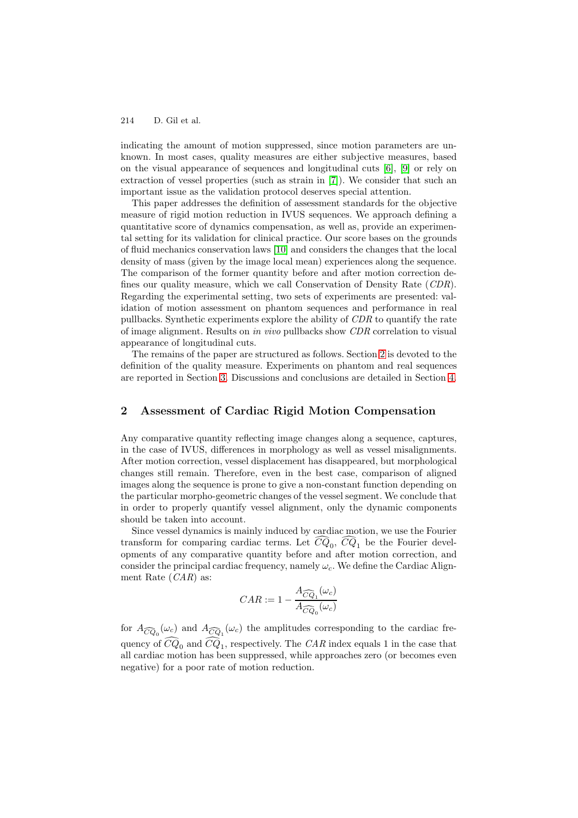indicating the amount of motion suppressed, since motion parameters are unknown. In most cases, quality measures are either subjective measures, based on the visual appearance of sequences and longitudinal cuts [\[6\]](#page-7-5), [\[9\]](#page-7-8) or rely on extraction of vessel properties (such as strain in [\[7\]](#page-7-6)). We consider that such an important issue as the validation protocol deserves special attention.

This paper addresses the definition of assessment standards for the objective measure of rigid motion reduction in IVUS sequences. We approach defining a quantitative score of dynamics compensation, as well as, provide an experimental setting for its validation for clinical practice. Our score bases on the grounds of fluid mechanics conservation laws [\[10\]](#page-7-10) and considers the changes that the local density of mass (given by the image local mean) experiences along the sequence. The comparison of the former quantity before and after motion correction defines our quality measure, which we call Conservation of Density Rate (CDR). Regarding the experimental setting, two sets of experiments are presented: validation of motion assessment on phantom sequences and performance in real pullbacks. Synthetic experiments explore the ability of CDR to quantify the rate of image alignment. Results on in vivo pullbacks show CDR correlation to visual appearance of longitudinal cuts.

The remains of the paper are structured as follows. Section [2](#page-1-0) is devoted to the definition of the quality measure. Experiments on phantom and real sequences are reported in Section [3.](#page-4-0) Discussions and conclusions are detailed in Section [4.](#page-6-0)

## <span id="page-1-0"></span>**2 Assessment of Cardiac Rigid Motion Compensation**

Any comparative quantity reflecting image changes along a sequence, captures, in the case of IVUS, differences in morphology as well as vessel misalignments. After motion correction, vessel displacement has disappeared, but morphological changes still remain. Therefore, even in the best case, comparison of aligned images along the sequence is prone to give a non-constant function depending on the particular morpho-geometric changes of the vessel segment. We conclude that in order to properly quantify vessel alignment, only the dynamic components should be taken into account.

Since vessel dynamics is mainly induced by cardiac motion, we use the Fourier transform for comparing cardiac terms. Let  $CQ_0$ ,  $CQ_1$  be the Fourier devel-<br>comparison as a sequence of the monoton condition of the properties and the conditions of the monoton conditions of the sequence of the seque opments of any comparative quantity before and after motion correction, and consider the principal cardiac frequency, namely  $\omega_c$ . We define the Cardiac Alignment Rate  $(CAR)$  as:

$$
CAR := 1 - \frac{A_{\widehat{CQ}_1}(\omega_c)}{A_{\widehat{CQ}_0}(\omega_c)}
$$

for  $A_{\widehat{CQ}_0}(\omega_c)$  and  $A_{\widehat{CQ}_1}(\omega_c)$  the amplitudes corresponding to the cardiac frequency of  $CQ_0$  and  $CQ_1$ , respectively. The  $CAR$  index equals 1 in the case that all cardiac motion has been suppressed, while approaches zero (or becomes even negative) for a poor rate of motion reduction.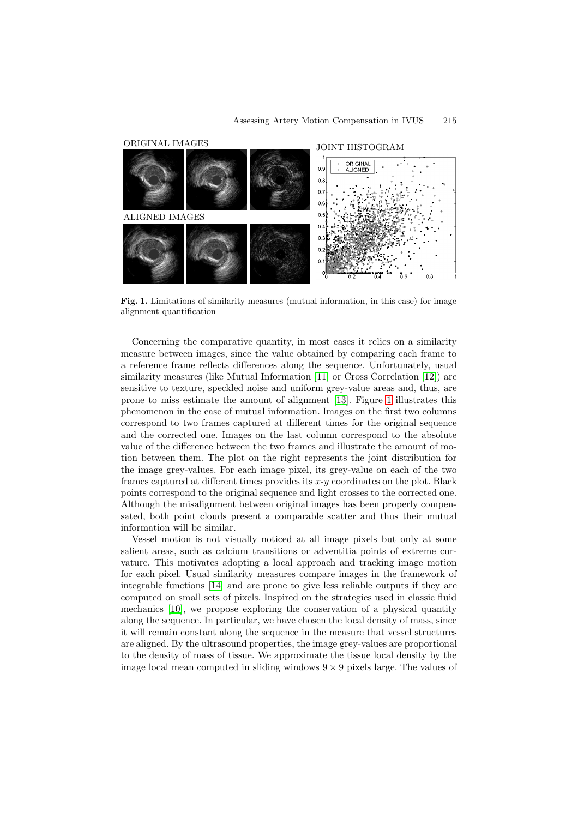

<span id="page-2-0"></span>**Fig. 1.** Limitations of similarity measures (mutual information, in this case) for image alignment quantification

Concerning the comparative quantity, in most cases it relies on a similarity measure between images, since the value obtained by comparing each frame to a reference frame reflects differences along the sequence. Unfortunately, usual similarity measures (like Mutual Information [\[11\]](#page-7-11) or Cross Correlation [\[12\]](#page-7-12)) are sensitive to texture, speckled noise and uniform grey-value areas and, thus, are prone to miss estimate the amount of alignment [\[13\]](#page-7-13). Figure [1](#page-2-0) illustrates this phenomenon in the case of mutual information. Images on the first two columns correspond to two frames captured at different times for the original sequence and the corrected one. Images on the last column correspond to the absolute value of the difference between the two frames and illustrate the amount of motion between them. The plot on the right represents the joint distribution for the image grey-values. For each image pixel, its grey-value on each of the two frames captured at different times provides its  $x-y$  coordinates on the plot. Black points correspond to the original sequence and light crosses to the corrected one. Although the misalignment between original images has been properly compensated, both point clouds present a comparable scatter and thus their mutual information will be similar.

Vessel motion is not visually noticed at all image pixels but only at some salient areas, such as calcium transitions or adventitia points of extreme curvature. This motivates adopting a local approach and tracking image motion for each pixel. Usual similarity measures compare images in the framework of integrable functions [\[14\]](#page-7-14) and are prone to give less reliable outputs if they are computed on small sets of pixels. Inspired on the strategies used in classic fluid mechanics [\[10\]](#page-7-10), we propose exploring the conservation of a physical quantity along the sequence. In particular, we have chosen the local density of mass, since it will remain constant along the sequence in the measure that vessel structures are aligned. By the ultrasound properties, the image grey-values are proportional to the density of mass of tissue. We approximate the tissue local density by the image local mean computed in sliding windows  $9 \times 9$  pixels large. The values of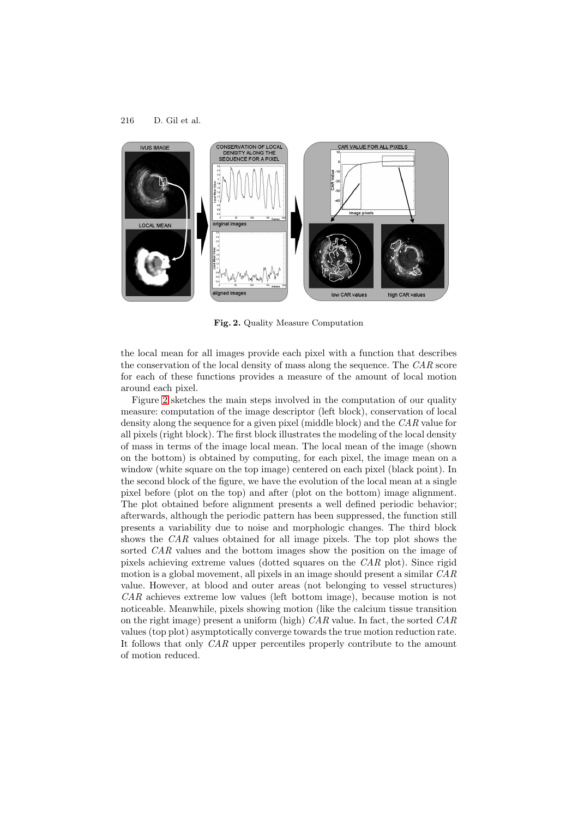

**Fig. 2.** Quality Measure Computation

<span id="page-3-0"></span>the local mean for all images provide each pixel with a function that describes the conservation of the local density of mass along the sequence. The CAR score for each of these functions provides a measure of the amount of local motion around each pixel.

Figure [2](#page-3-0) sketches the main steps involved in the computation of our quality measure: computation of the image descriptor (left block), conservation of local density along the sequence for a given pixel (middle block) and the CAR value for all pixels (right block). The first block illustrates the modeling of the local density of mass in terms of the image local mean. The local mean of the image (shown on the bottom) is obtained by computing, for each pixel, the image mean on a window (white square on the top image) centered on each pixel (black point). In the second block of the figure, we have the evolution of the local mean at a single pixel before (plot on the top) and after (plot on the bottom) image alignment. The plot obtained before alignment presents a well defined periodic behavior; afterwards, although the periodic pattern has been suppressed, the function still presents a variability due to noise and morphologic changes. The third block shows the CAR values obtained for all image pixels. The top plot shows the sorted CAR values and the bottom images show the position on the image of pixels achieving extreme values (dotted squares on the CAR plot). Since rigid motion is a global movement, all pixels in an image should present a similar CAR value. However, at blood and outer areas (not belonging to vessel structures) CAR achieves extreme low values (left bottom image), because motion is not noticeable. Meanwhile, pixels showing motion (like the calcium tissue transition on the right image) present a uniform (high)  $CAR$  value. In fact, the sorted  $CAR$ values (top plot) asymptotically converge towards the true motion reduction rate. It follows that only CAR upper percentiles properly contribute to the amount of motion reduced.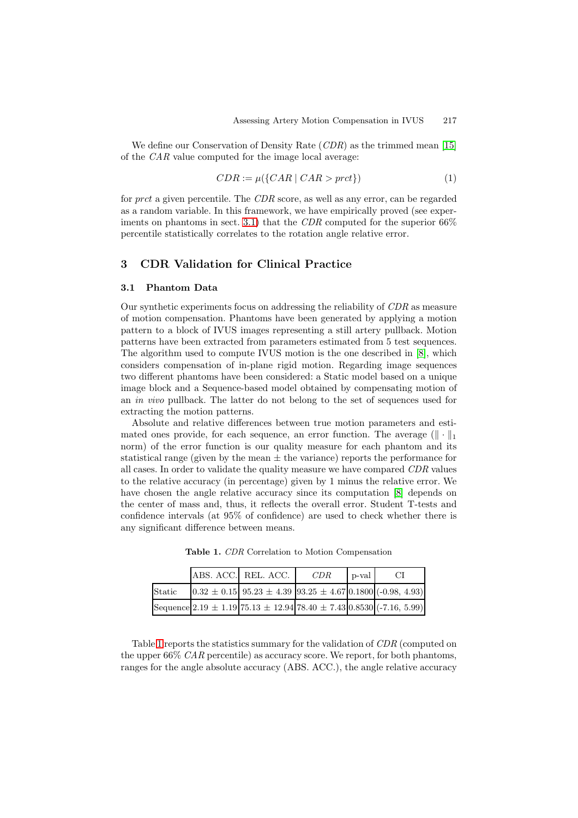We define our Conservation of Density Rate (CDR) as the trimmed mean [\[15\]](#page-7-15) of the CAR value computed for the image local average:

$$
CDR := \mu({\lbrace CAR \mid CAR > pret \rbrace}) \tag{1}
$$

for prct a given percentile. The CDR score, as well as any error, can be regarded as a random variable. In this framework, we have empirically proved (see experiments on phantoms in sect. [3.1\)](#page-4-1) that the CDR computed for the superior 66% percentile statistically correlates to the rotation angle relative error.

### <span id="page-4-1"></span><span id="page-4-0"></span>**3 CDR Validation for Clinical Practice**

### **3.1 Phantom Data**

Our synthetic experiments focus on addressing the reliability of CDR as measure of motion compensation. Phantoms have been generated by applying a motion pattern to a block of IVUS images representing a still artery pullback. Motion patterns have been extracted from parameters estimated from 5 test sequences. The algorithm used to compute IVUS motion is the one described in [\[8\]](#page-7-7), which considers compensation of in-plane rigid motion. Regarding image sequences two different phantoms have been considered: a Static model based on a unique image block and a Sequence-based model obtained by compensating motion of an in vivo pullback. The latter do not belong to the set of sequences used for extracting the motion patterns.

Absolute and relative differences between true motion parameters and estimated ones provide, for each sequence, an error function. The average  $(\|\cdot\|_1)$ norm) of the error function is our quality measure for each phantom and its statistical range (given by the mean  $\pm$  the variance) reports the performance for all cases. In order to validate the quality measure we have compared CDR values to the relative accuracy (in percentage) given by 1 minus the relative error. We have chosen the angle relative accuracy since its computation [\[8\]](#page-7-7) depends on the center of mass and, thus, it reflects the overall error. Student T-tests and confidence intervals (at 95% of confidence) are used to check whether there is any significant difference between means.

<span id="page-4-2"></span>

|        | ABS. ACC. REL. ACC.                                                                 | CDR | <sub>p</sub> -val | CI |
|--------|-------------------------------------------------------------------------------------|-----|-------------------|----|
| Static | $\left[0.32 \pm 0.15\right]$ 95.23 $\pm$ 4.39 93.25 $\pm$ 4.67 0.1800 (-0.98, 4.93) |     |                   |    |
|        | Sequence $2.19 \pm 1.19$ 75.13 $\pm$ 12.94 78.40 $\pm$ 7.43 0.8530 (-7.16, 5.99)    |     |                   |    |

**Table 1.** CDR Correlation to Motion Compensation

Table [1](#page-4-2) reports the statistics summary for the validation of CDR (computed on the upper  $66\%$  CAR percentile) as accuracy score. We report, for both phantoms, ranges for the angle absolute accuracy (ABS. ACC.), the angle relative accuracy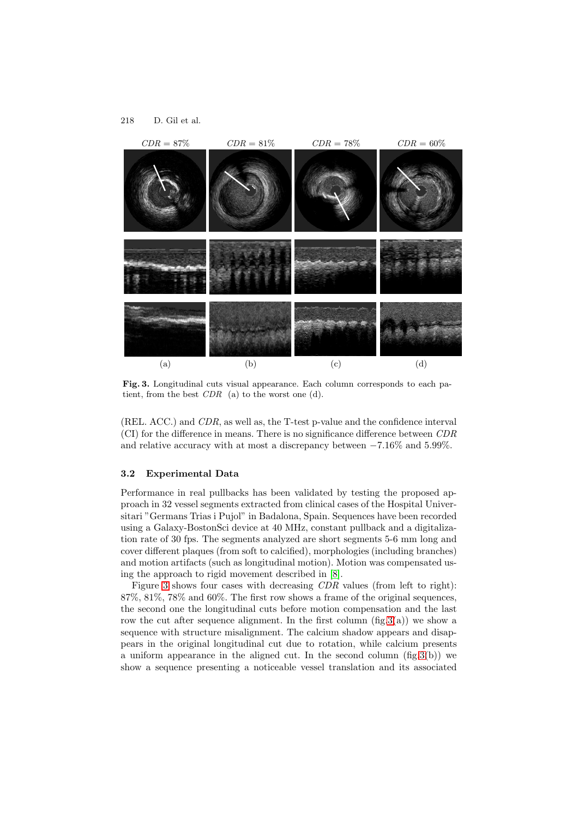

<span id="page-5-0"></span>**Fig. 3.** Longitudinal cuts visual appearance. Each column corresponds to each patient, from the best  $CDR$  (a) to the worst one (d).

(REL. ACC.) and CDR, as well as, the T-test p-value and the confidence interval (CI) for the difference in means. There is no significance difference between CDR and relative accuracy with at most a discrepancy between −7.16% and 5.99%.

### **3.2 Experimental Data**

Performance in real pullbacks has been validated by testing the proposed approach in 32 vessel segments extracted from clinical cases of the Hospital Universitari "Germans Trias i Pujol" in Badalona, Spain. Sequences have been recorded using a Galaxy-BostonSci device at 40 MHz, constant pullback and a digitalization rate of 30 fps. The segments analyzed are short segments 5-6 mm long and cover different plaques (from soft to calcified), morphologies (including branches) and motion artifacts (such as longitudinal motion). Motion was compensated using the approach to rigid movement described in [\[8\]](#page-7-7).

Figure [3](#page-5-0) shows four cases with decreasing CDR values (from left to right): 87%, 81%, 78% and 60%. The first row shows a frame of the original sequences, the second one the longitudinal cuts before motion compensation and the last row the cut after sequence alignment. In the first column  $(fig.3(a))$  $(fig.3(a))$  $(fig.3(a))$  we show a sequence with structure misalignment. The calcium shadow appears and disappears in the original longitudinal cut due to rotation, while calcium presents a uniform appearance in the aligned cut. In the second column  $(fig.3(b))$  $(fig.3(b))$  $(fig.3(b))$  we show a sequence presenting a noticeable vessel translation and its associated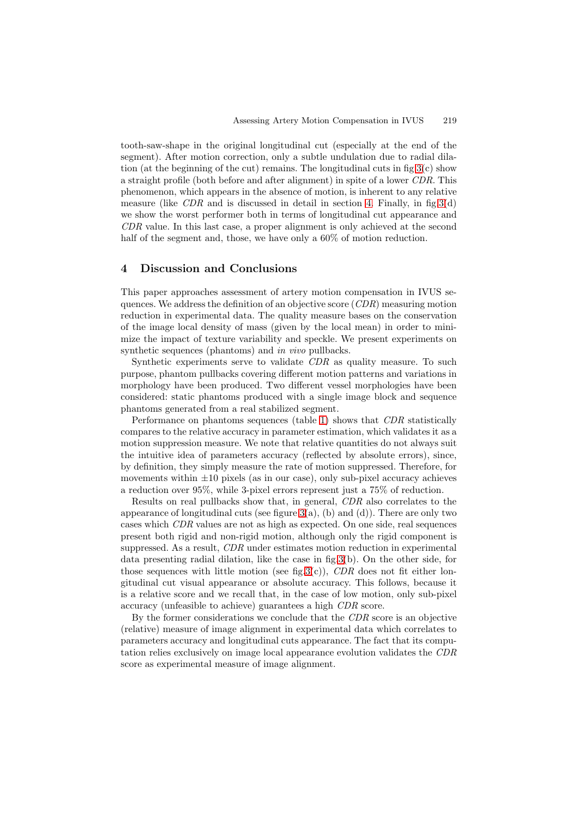tooth-saw-shape in the original longitudinal cut (especially at the end of the segment). After motion correction, only a subtle undulation due to radial dila-tion (at the beginning of the cut) remains. The longitudinal cuts in fig[.3\(](#page-5-0)c) show a straight profile (both before and after alignment) in spite of a lower CDR. This phenomenon, which appears in the absence of motion, is inherent to any relative measure (like  $CDR$  and is discussed in detail in section [4.](#page-6-0) Finally, in fig[.3\(](#page-5-0)d) we show the worst performer both in terms of longitudinal cut appearance and CDR value. In this last case, a proper alignment is only achieved at the second half of the segment and, those, we have only a  $60\%$  of motion reduction.

## <span id="page-6-0"></span>**4 Discussion and Conclusions**

This paper approaches assessment of artery motion compensation in IVUS sequences. We address the definition of an objective score  $(CDR)$  measuring motion reduction in experimental data. The quality measure bases on the conservation of the image local density of mass (given by the local mean) in order to minimize the impact of texture variability and speckle. We present experiments on synthetic sequences (phantoms) and in vivo pullbacks.

Synthetic experiments serve to validate  $CDR$  as quality measure. To such purpose, phantom pullbacks covering different motion patterns and variations in morphology have been produced. Two different vessel morphologies have been considered: static phantoms produced with a single image block and sequence phantoms generated from a real stabilized segment.

Performance on phantoms sequences (table [1\)](#page-4-2) shows that CDR statistically compares to the relative accuracy in parameter estimation, which validates it as a motion suppression measure. We note that relative quantities do not always suit the intuitive idea of parameters accuracy (reflected by absolute errors), since, by definition, they simply measure the rate of motion suppressed. Therefore, for movements within  $\pm 10$  pixels (as in our case), only sub-pixel accuracy achieves a reduction over 95%, while 3-pixel errors represent just a 75% of reduction.

Results on real pullbacks show that, in general, CDR also correlates to the appearance of longitudinal cuts (see figure  $3(a)$ , (b) and (d)). There are only two cases which CDR values are not as high as expected. On one side, real sequences present both rigid and non-rigid motion, although only the rigid component is suppressed. As a result, CDR under estimates motion reduction in experimental data presenting radial dilation, like the case in fig[.3\(](#page-5-0)b). On the other side, for those sequences with little motion (see fig. 3(c)),  $CDR$  does not fit either longitudinal cut visual appearance or absolute accuracy. This follows, because it is a relative score and we recall that, in the case of low motion, only sub-pixel accuracy (unfeasible to achieve) guarantees a high CDR score.

By the former considerations we conclude that the CDR score is an objective (relative) measure of image alignment in experimental data which correlates to parameters accuracy and longitudinal cuts appearance. The fact that its computation relies exclusively on image local appearance evolution validates the CDR score as experimental measure of image alignment.